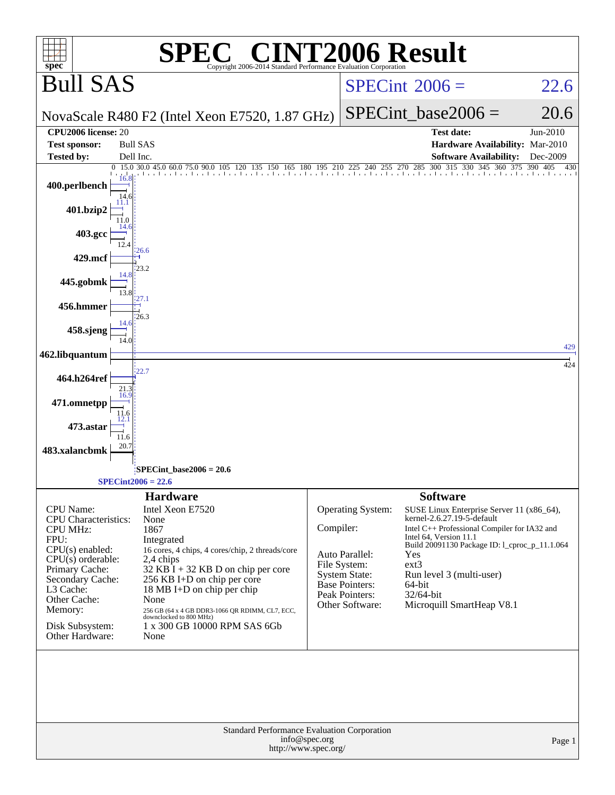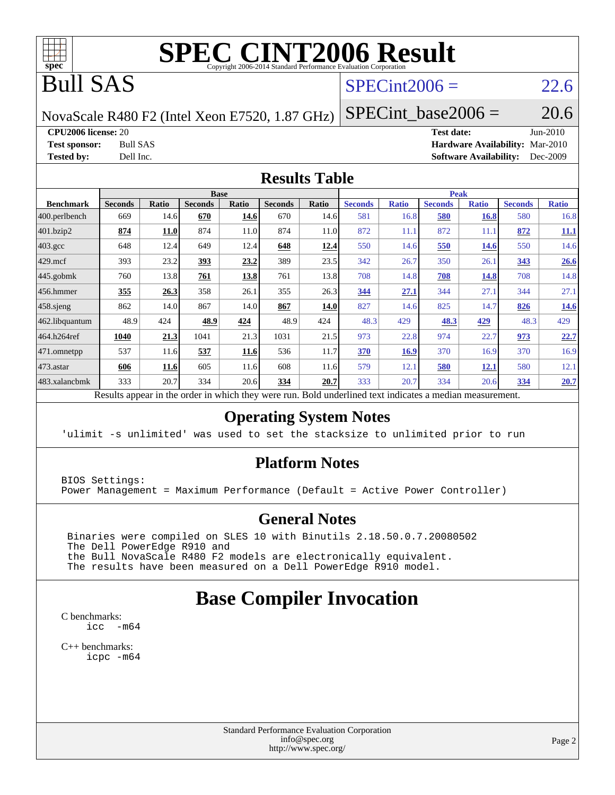

# **[SPEC CINT2006 Result](http://www.spec.org/auto/cpu2006/Docs/result-fields.html#SPECCINT2006Result)**

# Bull SAS

### $SPECint2006 = 22.6$  $SPECint2006 = 22.6$

NovaScale R480 F2 (Intel Xeon E7520, 1.87 GHz)

SPECint base2006 =  $20.6$ 

**[CPU2006 license:](http://www.spec.org/auto/cpu2006/Docs/result-fields.html#CPU2006license)** 20 **[Test date:](http://www.spec.org/auto/cpu2006/Docs/result-fields.html#Testdate)** Jun-2010

**[Test sponsor:](http://www.spec.org/auto/cpu2006/Docs/result-fields.html#Testsponsor)** Bull SAS **[Hardware Availability:](http://www.spec.org/auto/cpu2006/Docs/result-fields.html#HardwareAvailability)** Mar-2010 **[Tested by:](http://www.spec.org/auto/cpu2006/Docs/result-fields.html#Testedby)** Dell Inc. **[Software Availability:](http://www.spec.org/auto/cpu2006/Docs/result-fields.html#SoftwareAvailability)** Dec-2009

### **[Results Table](http://www.spec.org/auto/cpu2006/Docs/result-fields.html#ResultsTable)**

|                    |                |             | <b>Base</b>    |              |                |       |                |              | <b>Peak</b>    |              |                |              |
|--------------------|----------------|-------------|----------------|--------------|----------------|-------|----------------|--------------|----------------|--------------|----------------|--------------|
| <b>Benchmark</b>   | <b>Seconds</b> | Ratio       | <b>Seconds</b> | <b>Ratio</b> | <b>Seconds</b> | Ratio | <b>Seconds</b> | <b>Ratio</b> | <b>Seconds</b> | <b>Ratio</b> | <b>Seconds</b> | <b>Ratio</b> |
| 400.perlbench      | 669            | 14.6        | 670            | 14.6         | 670            | 14.6  | 581            | 16.8         | 580            | <u>16.8</u>  | 580            | 16.8         |
| 401.bzip2          | 874            | <b>11.0</b> | 874            | 11.0         | 874            | 11.0  | 872            | 11.1         | 872            | 11.1         | 872            | <u>11.1</u>  |
| $403.\mathrm{gcc}$ | 648            | 12.4        | 649            | 12.4         | 648            | 12.4  | 550            | 14.6         | 550            | 14.6         | 550            | 14.6         |
| $429$ .mcf         | 393            | 23.2        | 393            | 23.2         | 389            | 23.5  | 342            | 26.7         | 350            | 26.1         | 343            | 26.6         |
| 445.gobmk          | 760            | 13.8        | 761            | 13.8         | 761            | 13.8  | 708            | 14.8         | 708            | 14.8         | 708            | 14.8         |
| $456.$ hmmer       | 355            | 26.3        | 358            | 26.1         | 355            | 26.3  | 344            | 27.1         | 344            | 27.1         | 344            | 27.1         |
| $458$ .sjeng       | 862            | 14.0        | 867            | 14.0         | 867            | 14.0  | 827            | 14.6         | 825            | 14.7         | 826            | 14.6         |
| 462.libquantum     | 48.9           | 424         | 48.9           | 424          | 48.9           | 424   | 48.3           | 429          | 48.3           | 429          | 48.3           | 429          |
| 464.h264ref        | 1040           | 21.3        | 1041           | 21.3         | 1031           | 21.5  | 973            | 22.8         | 974            | 22.7         | 973            | 22.7         |
| 471.omnetpp        | 537            | 11.6        | 537            | 11.6         | 536            | 11.7  | 370            | 16.9         | 370            | 16.9         | 370            | 16.9         |
| $473$ . astar      | 606            | 11.6        | 605            | 11.6         | 608            | 11.6  | 579            | 12.1         | 580            | 12.1         | 580            | 12.1         |
| 483.xalancbmk      | 333            | 20.7        | 334            | 20.6         | 334            | 20.7  | 333            | 20.7         | 334            | 20.6         | 334            | 20.7         |

Results appear in the [order in which they were run.](http://www.spec.org/auto/cpu2006/Docs/result-fields.html#RunOrder) Bold underlined text [indicates a median measurement.](http://www.spec.org/auto/cpu2006/Docs/result-fields.html#Median)

### **[Operating System Notes](http://www.spec.org/auto/cpu2006/Docs/result-fields.html#OperatingSystemNotes)**

'ulimit -s unlimited' was used to set the stacksize to unlimited prior to run

### **[Platform Notes](http://www.spec.org/auto/cpu2006/Docs/result-fields.html#PlatformNotes)**

BIOS Settings: Power Management = Maximum Performance (Default = Active Power Controller)

### **[General Notes](http://www.spec.org/auto/cpu2006/Docs/result-fields.html#GeneralNotes)**

 Binaries were compiled on SLES 10 with Binutils 2.18.50.0.7.20080502 The Dell PowerEdge R910 and the Bull NovaScale R480 F2 models are electronically equivalent. The results have been measured on a Dell PowerEdge R910 model.

## **[Base Compiler Invocation](http://www.spec.org/auto/cpu2006/Docs/result-fields.html#BaseCompilerInvocation)**

[C benchmarks](http://www.spec.org/auto/cpu2006/Docs/result-fields.html#Cbenchmarks): [icc -m64](http://www.spec.org/cpu2006/results/res2010q3/cpu2006-20100621-11952.flags.html#user_CCbase_intel_icc_64bit_f346026e86af2a669e726fe758c88044)

[C++ benchmarks:](http://www.spec.org/auto/cpu2006/Docs/result-fields.html#CXXbenchmarks) [icpc -m64](http://www.spec.org/cpu2006/results/res2010q3/cpu2006-20100621-11952.flags.html#user_CXXbase_intel_icpc_64bit_fc66a5337ce925472a5c54ad6a0de310)

> Standard Performance Evaluation Corporation [info@spec.org](mailto:info@spec.org) <http://www.spec.org/>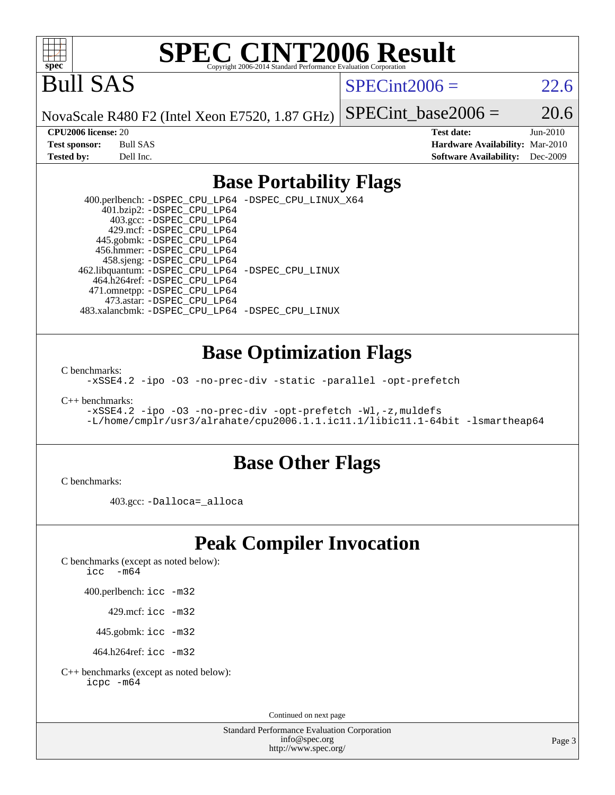

# **[SPEC CINT2006 Result](http://www.spec.org/auto/cpu2006/Docs/result-fields.html#SPECCINT2006Result)**

Bull SAS

 $SPECint2006 = 22.6$  $SPECint2006 = 22.6$ 

NovaScale R480 F2 (Intel Xeon E7520, 1.87 GHz)

SPECint base2006 =  $20.6$ 

**[CPU2006 license:](http://www.spec.org/auto/cpu2006/Docs/result-fields.html#CPU2006license)** 20 **[Test date:](http://www.spec.org/auto/cpu2006/Docs/result-fields.html#Testdate)** Jun-2010 **[Test sponsor:](http://www.spec.org/auto/cpu2006/Docs/result-fields.html#Testsponsor)** Bull SAS **[Hardware Availability:](http://www.spec.org/auto/cpu2006/Docs/result-fields.html#HardwareAvailability)** Mar-2010 **[Tested by:](http://www.spec.org/auto/cpu2006/Docs/result-fields.html#Testedby)** Dell Inc. **[Software Availability:](http://www.spec.org/auto/cpu2006/Docs/result-fields.html#SoftwareAvailability)** Dec-2009

### **[Base Portability Flags](http://www.spec.org/auto/cpu2006/Docs/result-fields.html#BasePortabilityFlags)**

 400.perlbench: [-DSPEC\\_CPU\\_LP64](http://www.spec.org/cpu2006/results/res2010q3/cpu2006-20100621-11952.flags.html#b400.perlbench_basePORTABILITY_DSPEC_CPU_LP64) [-DSPEC\\_CPU\\_LINUX\\_X64](http://www.spec.org/cpu2006/results/res2010q3/cpu2006-20100621-11952.flags.html#b400.perlbench_baseCPORTABILITY_DSPEC_CPU_LINUX_X64) 401.bzip2: [-DSPEC\\_CPU\\_LP64](http://www.spec.org/cpu2006/results/res2010q3/cpu2006-20100621-11952.flags.html#suite_basePORTABILITY401_bzip2_DSPEC_CPU_LP64) 403.gcc: [-DSPEC\\_CPU\\_LP64](http://www.spec.org/cpu2006/results/res2010q3/cpu2006-20100621-11952.flags.html#suite_basePORTABILITY403_gcc_DSPEC_CPU_LP64) 429.mcf: [-DSPEC\\_CPU\\_LP64](http://www.spec.org/cpu2006/results/res2010q3/cpu2006-20100621-11952.flags.html#suite_basePORTABILITY429_mcf_DSPEC_CPU_LP64) 445.gobmk: [-DSPEC\\_CPU\\_LP64](http://www.spec.org/cpu2006/results/res2010q3/cpu2006-20100621-11952.flags.html#suite_basePORTABILITY445_gobmk_DSPEC_CPU_LP64) 456.hmmer: [-DSPEC\\_CPU\\_LP64](http://www.spec.org/cpu2006/results/res2010q3/cpu2006-20100621-11952.flags.html#suite_basePORTABILITY456_hmmer_DSPEC_CPU_LP64) 458.sjeng: [-DSPEC\\_CPU\\_LP64](http://www.spec.org/cpu2006/results/res2010q3/cpu2006-20100621-11952.flags.html#suite_basePORTABILITY458_sjeng_DSPEC_CPU_LP64) 462.libquantum: [-DSPEC\\_CPU\\_LP64](http://www.spec.org/cpu2006/results/res2010q3/cpu2006-20100621-11952.flags.html#suite_basePORTABILITY462_libquantum_DSPEC_CPU_LP64) [-DSPEC\\_CPU\\_LINUX](http://www.spec.org/cpu2006/results/res2010q3/cpu2006-20100621-11952.flags.html#b462.libquantum_baseCPORTABILITY_DSPEC_CPU_LINUX) 464.h264ref: [-DSPEC\\_CPU\\_LP64](http://www.spec.org/cpu2006/results/res2010q3/cpu2006-20100621-11952.flags.html#suite_basePORTABILITY464_h264ref_DSPEC_CPU_LP64) 471.omnetpp: [-DSPEC\\_CPU\\_LP64](http://www.spec.org/cpu2006/results/res2010q3/cpu2006-20100621-11952.flags.html#suite_basePORTABILITY471_omnetpp_DSPEC_CPU_LP64) 473.astar: [-DSPEC\\_CPU\\_LP64](http://www.spec.org/cpu2006/results/res2010q3/cpu2006-20100621-11952.flags.html#suite_basePORTABILITY473_astar_DSPEC_CPU_LP64) 483.xalancbmk: [-DSPEC\\_CPU\\_LP64](http://www.spec.org/cpu2006/results/res2010q3/cpu2006-20100621-11952.flags.html#suite_basePORTABILITY483_xalancbmk_DSPEC_CPU_LP64) [-DSPEC\\_CPU\\_LINUX](http://www.spec.org/cpu2006/results/res2010q3/cpu2006-20100621-11952.flags.html#b483.xalancbmk_baseCXXPORTABILITY_DSPEC_CPU_LINUX)

### **[Base Optimization Flags](http://www.spec.org/auto/cpu2006/Docs/result-fields.html#BaseOptimizationFlags)**

[C benchmarks](http://www.spec.org/auto/cpu2006/Docs/result-fields.html#Cbenchmarks):

[-xSSE4.2](http://www.spec.org/cpu2006/results/res2010q3/cpu2006-20100621-11952.flags.html#user_CCbase_f-xSSE42_f91528193cf0b216347adb8b939d4107) [-ipo](http://www.spec.org/cpu2006/results/res2010q3/cpu2006-20100621-11952.flags.html#user_CCbase_f-ipo) [-O3](http://www.spec.org/cpu2006/results/res2010q3/cpu2006-20100621-11952.flags.html#user_CCbase_f-O3) [-no-prec-div](http://www.spec.org/cpu2006/results/res2010q3/cpu2006-20100621-11952.flags.html#user_CCbase_f-no-prec-div) [-static](http://www.spec.org/cpu2006/results/res2010q3/cpu2006-20100621-11952.flags.html#user_CCbase_f-static) [-parallel](http://www.spec.org/cpu2006/results/res2010q3/cpu2006-20100621-11952.flags.html#user_CCbase_f-parallel) [-opt-prefetch](http://www.spec.org/cpu2006/results/res2010q3/cpu2006-20100621-11952.flags.html#user_CCbase_f-opt-prefetch)

[C++ benchmarks:](http://www.spec.org/auto/cpu2006/Docs/result-fields.html#CXXbenchmarks)

[-xSSE4.2](http://www.spec.org/cpu2006/results/res2010q3/cpu2006-20100621-11952.flags.html#user_CXXbase_f-xSSE42_f91528193cf0b216347adb8b939d4107) [-ipo](http://www.spec.org/cpu2006/results/res2010q3/cpu2006-20100621-11952.flags.html#user_CXXbase_f-ipo) [-O3](http://www.spec.org/cpu2006/results/res2010q3/cpu2006-20100621-11952.flags.html#user_CXXbase_f-O3) [-no-prec-div](http://www.spec.org/cpu2006/results/res2010q3/cpu2006-20100621-11952.flags.html#user_CXXbase_f-no-prec-div) [-opt-prefetch](http://www.spec.org/cpu2006/results/res2010q3/cpu2006-20100621-11952.flags.html#user_CXXbase_f-opt-prefetch) [-Wl,-z,muldefs](http://www.spec.org/cpu2006/results/res2010q3/cpu2006-20100621-11952.flags.html#user_CXXbase_link_force_multiple1_74079c344b956b9658436fd1b6dd3a8a) [-L/home/cmplr/usr3/alrahate/cpu2006.1.1.ic11.1/libic11.1-64bit -lsmartheap64](http://www.spec.org/cpu2006/results/res2010q3/cpu2006-20100621-11952.flags.html#user_CXXbase_SmartHeap64_e2306cda84805d1ab360117a79ff779c)

### **[Base Other Flags](http://www.spec.org/auto/cpu2006/Docs/result-fields.html#BaseOtherFlags)**

[C benchmarks](http://www.spec.org/auto/cpu2006/Docs/result-fields.html#Cbenchmarks):

403.gcc: [-Dalloca=\\_alloca](http://www.spec.org/cpu2006/results/res2010q3/cpu2006-20100621-11952.flags.html#b403.gcc_baseEXTRA_CFLAGS_Dalloca_be3056838c12de2578596ca5467af7f3)

## **[Peak Compiler Invocation](http://www.spec.org/auto/cpu2006/Docs/result-fields.html#PeakCompilerInvocation)**

[C benchmarks \(except as noted below\)](http://www.spec.org/auto/cpu2006/Docs/result-fields.html#Cbenchmarksexceptasnotedbelow):

[icc -m64](http://www.spec.org/cpu2006/results/res2010q3/cpu2006-20100621-11952.flags.html#user_CCpeak_intel_icc_64bit_f346026e86af2a669e726fe758c88044)

400.perlbench: [icc -m32](http://www.spec.org/cpu2006/results/res2010q3/cpu2006-20100621-11952.flags.html#user_peakCCLD400_perlbench_intel_icc_32bit_a6a621f8d50482236b970c6ac5f55f93)

429.mcf: [icc -m32](http://www.spec.org/cpu2006/results/res2010q3/cpu2006-20100621-11952.flags.html#user_peakCCLD429_mcf_intel_icc_32bit_a6a621f8d50482236b970c6ac5f55f93)

445.gobmk: [icc -m32](http://www.spec.org/cpu2006/results/res2010q3/cpu2006-20100621-11952.flags.html#user_peakCCLD445_gobmk_intel_icc_32bit_a6a621f8d50482236b970c6ac5f55f93)

464.h264ref: [icc -m32](http://www.spec.org/cpu2006/results/res2010q3/cpu2006-20100621-11952.flags.html#user_peakCCLD464_h264ref_intel_icc_32bit_a6a621f8d50482236b970c6ac5f55f93)

[C++ benchmarks \(except as noted below\):](http://www.spec.org/auto/cpu2006/Docs/result-fields.html#CXXbenchmarksexceptasnotedbelow) [icpc -m64](http://www.spec.org/cpu2006/results/res2010q3/cpu2006-20100621-11952.flags.html#user_CXXpeak_intel_icpc_64bit_fc66a5337ce925472a5c54ad6a0de310)

Continued on next page

Standard Performance Evaluation Corporation [info@spec.org](mailto:info@spec.org) <http://www.spec.org/>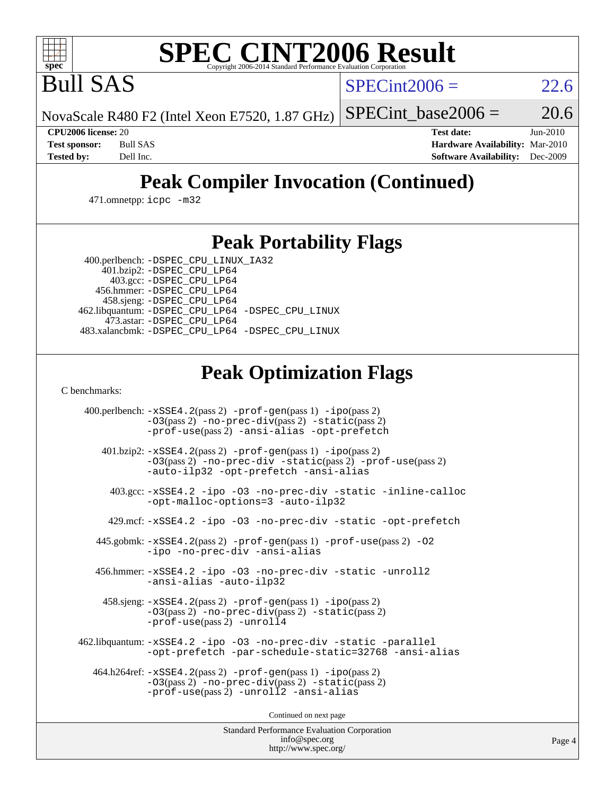

# **[SPEC CINT2006 Result](http://www.spec.org/auto/cpu2006/Docs/result-fields.html#SPECCINT2006Result)**

Bull SAS

 $SPECint2006 = 22.6$  $SPECint2006 = 22.6$ 

NovaScale R480 F2 (Intel Xeon E7520, 1.87 GHz)

SPECint base2006 =  $20.6$ 

**[CPU2006 license:](http://www.spec.org/auto/cpu2006/Docs/result-fields.html#CPU2006license)** 20 **[Test date:](http://www.spec.org/auto/cpu2006/Docs/result-fields.html#Testdate)** Jun-2010 **[Test sponsor:](http://www.spec.org/auto/cpu2006/Docs/result-fields.html#Testsponsor)** Bull SAS **[Hardware Availability:](http://www.spec.org/auto/cpu2006/Docs/result-fields.html#HardwareAvailability)** Mar-2010 **[Tested by:](http://www.spec.org/auto/cpu2006/Docs/result-fields.html#Testedby)** Dell Inc. **[Software Availability:](http://www.spec.org/auto/cpu2006/Docs/result-fields.html#SoftwareAvailability)** Dec-2009

# **[Peak Compiler Invocation \(Continued\)](http://www.spec.org/auto/cpu2006/Docs/result-fields.html#PeakCompilerInvocation)**

471.omnetpp: [icpc -m32](http://www.spec.org/cpu2006/results/res2010q3/cpu2006-20100621-11952.flags.html#user_peakCXXLD471_omnetpp_intel_icpc_32bit_4e5a5ef1a53fd332b3c49e69c3330699)

## **[Peak Portability Flags](http://www.spec.org/auto/cpu2006/Docs/result-fields.html#PeakPortabilityFlags)**

400.perlbench: [-DSPEC\\_CPU\\_LINUX\\_IA32](http://www.spec.org/cpu2006/results/res2010q3/cpu2006-20100621-11952.flags.html#b400.perlbench_peakCPORTABILITY_DSPEC_CPU_LINUX_IA32)

 401.bzip2: [-DSPEC\\_CPU\\_LP64](http://www.spec.org/cpu2006/results/res2010q3/cpu2006-20100621-11952.flags.html#suite_peakPORTABILITY401_bzip2_DSPEC_CPU_LP64) 403.gcc: [-DSPEC\\_CPU\\_LP64](http://www.spec.org/cpu2006/results/res2010q3/cpu2006-20100621-11952.flags.html#suite_peakPORTABILITY403_gcc_DSPEC_CPU_LP64) 456.hmmer: [-DSPEC\\_CPU\\_LP64](http://www.spec.org/cpu2006/results/res2010q3/cpu2006-20100621-11952.flags.html#suite_peakPORTABILITY456_hmmer_DSPEC_CPU_LP64) 458.sjeng: [-DSPEC\\_CPU\\_LP64](http://www.spec.org/cpu2006/results/res2010q3/cpu2006-20100621-11952.flags.html#suite_peakPORTABILITY458_sjeng_DSPEC_CPU_LP64) 462.libquantum: [-DSPEC\\_CPU\\_LP64](http://www.spec.org/cpu2006/results/res2010q3/cpu2006-20100621-11952.flags.html#suite_peakPORTABILITY462_libquantum_DSPEC_CPU_LP64) [-DSPEC\\_CPU\\_LINUX](http://www.spec.org/cpu2006/results/res2010q3/cpu2006-20100621-11952.flags.html#b462.libquantum_peakCPORTABILITY_DSPEC_CPU_LINUX) 473.astar: [-DSPEC\\_CPU\\_LP64](http://www.spec.org/cpu2006/results/res2010q3/cpu2006-20100621-11952.flags.html#suite_peakPORTABILITY473_astar_DSPEC_CPU_LP64) 483.xalancbmk: [-DSPEC\\_CPU\\_LP64](http://www.spec.org/cpu2006/results/res2010q3/cpu2006-20100621-11952.flags.html#suite_peakPORTABILITY483_xalancbmk_DSPEC_CPU_LP64) [-DSPEC\\_CPU\\_LINUX](http://www.spec.org/cpu2006/results/res2010q3/cpu2006-20100621-11952.flags.html#b483.xalancbmk_peakCXXPORTABILITY_DSPEC_CPU_LINUX)

# **[Peak Optimization Flags](http://www.spec.org/auto/cpu2006/Docs/result-fields.html#PeakOptimizationFlags)**

[C benchmarks](http://www.spec.org/auto/cpu2006/Docs/result-fields.html#Cbenchmarks):

 400.perlbench: [-xSSE4.2](http://www.spec.org/cpu2006/results/res2010q3/cpu2006-20100621-11952.flags.html#user_peakPASS2_CFLAGSPASS2_LDCFLAGS400_perlbench_f-xSSE42_f91528193cf0b216347adb8b939d4107)(pass 2) [-prof-gen](http://www.spec.org/cpu2006/results/res2010q3/cpu2006-20100621-11952.flags.html#user_peakPASS1_CFLAGSPASS1_LDCFLAGS400_perlbench_prof_gen_e43856698f6ca7b7e442dfd80e94a8fc)(pass 1) [-ipo](http://www.spec.org/cpu2006/results/res2010q3/cpu2006-20100621-11952.flags.html#user_peakPASS2_CFLAGSPASS2_LDCFLAGS400_perlbench_f-ipo)(pass 2) [-O3](http://www.spec.org/cpu2006/results/res2010q3/cpu2006-20100621-11952.flags.html#user_peakPASS2_CFLAGSPASS2_LDCFLAGS400_perlbench_f-O3)(pass 2) [-no-prec-div](http://www.spec.org/cpu2006/results/res2010q3/cpu2006-20100621-11952.flags.html#user_peakPASS2_CFLAGSPASS2_LDCFLAGS400_perlbench_f-no-prec-div)(pass 2) [-static](http://www.spec.org/cpu2006/results/res2010q3/cpu2006-20100621-11952.flags.html#user_peakPASS2_CFLAGSPASS2_LDCFLAGS400_perlbench_f-static)(pass 2) [-prof-use](http://www.spec.org/cpu2006/results/res2010q3/cpu2006-20100621-11952.flags.html#user_peakPASS2_CFLAGSPASS2_LDCFLAGS400_perlbench_prof_use_bccf7792157ff70d64e32fe3e1250b55)(pass 2) [-ansi-alias](http://www.spec.org/cpu2006/results/res2010q3/cpu2006-20100621-11952.flags.html#user_peakCOPTIMIZE400_perlbench_f-ansi-alias) [-opt-prefetch](http://www.spec.org/cpu2006/results/res2010q3/cpu2006-20100621-11952.flags.html#user_peakCOPTIMIZE400_perlbench_f-opt-prefetch) 401.bzip2: [-xSSE4.2](http://www.spec.org/cpu2006/results/res2010q3/cpu2006-20100621-11952.flags.html#user_peakPASS2_CFLAGSPASS2_LDCFLAGS401_bzip2_f-xSSE42_f91528193cf0b216347adb8b939d4107)(pass 2) [-prof-gen](http://www.spec.org/cpu2006/results/res2010q3/cpu2006-20100621-11952.flags.html#user_peakPASS1_CFLAGSPASS1_LDCFLAGS401_bzip2_prof_gen_e43856698f6ca7b7e442dfd80e94a8fc)(pass 1) [-ipo](http://www.spec.org/cpu2006/results/res2010q3/cpu2006-20100621-11952.flags.html#user_peakPASS2_CFLAGSPASS2_LDCFLAGS401_bzip2_f-ipo)(pass 2) [-O3](http://www.spec.org/cpu2006/results/res2010q3/cpu2006-20100621-11952.flags.html#user_peakPASS2_CFLAGSPASS2_LDCFLAGS401_bzip2_f-O3)(pass 2) [-no-prec-div](http://www.spec.org/cpu2006/results/res2010q3/cpu2006-20100621-11952.flags.html#user_peakCOPTIMIZEPASS2_CFLAGSPASS2_LDCFLAGS401_bzip2_f-no-prec-div) [-static](http://www.spec.org/cpu2006/results/res2010q3/cpu2006-20100621-11952.flags.html#user_peakPASS2_CFLAGSPASS2_LDCFLAGS401_bzip2_f-static)(pass 2) [-prof-use](http://www.spec.org/cpu2006/results/res2010q3/cpu2006-20100621-11952.flags.html#user_peakPASS2_CFLAGSPASS2_LDCFLAGS401_bzip2_prof_use_bccf7792157ff70d64e32fe3e1250b55)(pass 2) [-auto-ilp32](http://www.spec.org/cpu2006/results/res2010q3/cpu2006-20100621-11952.flags.html#user_peakCOPTIMIZE401_bzip2_f-auto-ilp32) [-opt-prefetch](http://www.spec.org/cpu2006/results/res2010q3/cpu2006-20100621-11952.flags.html#user_peakCOPTIMIZE401_bzip2_f-opt-prefetch) [-ansi-alias](http://www.spec.org/cpu2006/results/res2010q3/cpu2006-20100621-11952.flags.html#user_peakCOPTIMIZE401_bzip2_f-ansi-alias) 403.gcc: [-xSSE4.2](http://www.spec.org/cpu2006/results/res2010q3/cpu2006-20100621-11952.flags.html#user_peakCOPTIMIZE403_gcc_f-xSSE42_f91528193cf0b216347adb8b939d4107) [-ipo](http://www.spec.org/cpu2006/results/res2010q3/cpu2006-20100621-11952.flags.html#user_peakCOPTIMIZE403_gcc_f-ipo) [-O3](http://www.spec.org/cpu2006/results/res2010q3/cpu2006-20100621-11952.flags.html#user_peakCOPTIMIZE403_gcc_f-O3) [-no-prec-div](http://www.spec.org/cpu2006/results/res2010q3/cpu2006-20100621-11952.flags.html#user_peakCOPTIMIZE403_gcc_f-no-prec-div) [-static](http://www.spec.org/cpu2006/results/res2010q3/cpu2006-20100621-11952.flags.html#user_peakCOPTIMIZE403_gcc_f-static) [-inline-calloc](http://www.spec.org/cpu2006/results/res2010q3/cpu2006-20100621-11952.flags.html#user_peakCOPTIMIZE403_gcc_f-inline-calloc) [-opt-malloc-options=3](http://www.spec.org/cpu2006/results/res2010q3/cpu2006-20100621-11952.flags.html#user_peakCOPTIMIZE403_gcc_f-opt-malloc-options_13ab9b803cf986b4ee62f0a5998c2238) [-auto-ilp32](http://www.spec.org/cpu2006/results/res2010q3/cpu2006-20100621-11952.flags.html#user_peakCOPTIMIZE403_gcc_f-auto-ilp32) 429.mcf: [-xSSE4.2](http://www.spec.org/cpu2006/results/res2010q3/cpu2006-20100621-11952.flags.html#user_peakCOPTIMIZE429_mcf_f-xSSE42_f91528193cf0b216347adb8b939d4107) [-ipo](http://www.spec.org/cpu2006/results/res2010q3/cpu2006-20100621-11952.flags.html#user_peakCOPTIMIZE429_mcf_f-ipo) [-O3](http://www.spec.org/cpu2006/results/res2010q3/cpu2006-20100621-11952.flags.html#user_peakCOPTIMIZE429_mcf_f-O3) [-no-prec-div](http://www.spec.org/cpu2006/results/res2010q3/cpu2006-20100621-11952.flags.html#user_peakCOPTIMIZE429_mcf_f-no-prec-div) [-static](http://www.spec.org/cpu2006/results/res2010q3/cpu2006-20100621-11952.flags.html#user_peakCOPTIMIZE429_mcf_f-static) [-opt-prefetch](http://www.spec.org/cpu2006/results/res2010q3/cpu2006-20100621-11952.flags.html#user_peakCOPTIMIZE429_mcf_f-opt-prefetch) 445.gobmk: [-xSSE4.2](http://www.spec.org/cpu2006/results/res2010q3/cpu2006-20100621-11952.flags.html#user_peakPASS2_CFLAGSPASS2_LDCFLAGS445_gobmk_f-xSSE42_f91528193cf0b216347adb8b939d4107)(pass 2) [-prof-gen](http://www.spec.org/cpu2006/results/res2010q3/cpu2006-20100621-11952.flags.html#user_peakPASS1_CFLAGSPASS1_LDCFLAGS445_gobmk_prof_gen_e43856698f6ca7b7e442dfd80e94a8fc)(pass 1) [-prof-use](http://www.spec.org/cpu2006/results/res2010q3/cpu2006-20100621-11952.flags.html#user_peakPASS2_CFLAGSPASS2_LDCFLAGS445_gobmk_prof_use_bccf7792157ff70d64e32fe3e1250b55)(pass 2) [-O2](http://www.spec.org/cpu2006/results/res2010q3/cpu2006-20100621-11952.flags.html#user_peakCOPTIMIZE445_gobmk_f-O2) [-ipo](http://www.spec.org/cpu2006/results/res2010q3/cpu2006-20100621-11952.flags.html#user_peakCOPTIMIZE445_gobmk_f-ipo) [-no-prec-div](http://www.spec.org/cpu2006/results/res2010q3/cpu2006-20100621-11952.flags.html#user_peakCOPTIMIZE445_gobmk_f-no-prec-div) [-ansi-alias](http://www.spec.org/cpu2006/results/res2010q3/cpu2006-20100621-11952.flags.html#user_peakCOPTIMIZE445_gobmk_f-ansi-alias) 456.hmmer: [-xSSE4.2](http://www.spec.org/cpu2006/results/res2010q3/cpu2006-20100621-11952.flags.html#user_peakCOPTIMIZE456_hmmer_f-xSSE42_f91528193cf0b216347adb8b939d4107) [-ipo](http://www.spec.org/cpu2006/results/res2010q3/cpu2006-20100621-11952.flags.html#user_peakCOPTIMIZE456_hmmer_f-ipo) [-O3](http://www.spec.org/cpu2006/results/res2010q3/cpu2006-20100621-11952.flags.html#user_peakCOPTIMIZE456_hmmer_f-O3) [-no-prec-div](http://www.spec.org/cpu2006/results/res2010q3/cpu2006-20100621-11952.flags.html#user_peakCOPTIMIZE456_hmmer_f-no-prec-div) [-static](http://www.spec.org/cpu2006/results/res2010q3/cpu2006-20100621-11952.flags.html#user_peakCOPTIMIZE456_hmmer_f-static) [-unroll2](http://www.spec.org/cpu2006/results/res2010q3/cpu2006-20100621-11952.flags.html#user_peakCOPTIMIZE456_hmmer_f-unroll_784dae83bebfb236979b41d2422d7ec2) [-ansi-alias](http://www.spec.org/cpu2006/results/res2010q3/cpu2006-20100621-11952.flags.html#user_peakCOPTIMIZE456_hmmer_f-ansi-alias) [-auto-ilp32](http://www.spec.org/cpu2006/results/res2010q3/cpu2006-20100621-11952.flags.html#user_peakCOPTIMIZE456_hmmer_f-auto-ilp32) 458.sjeng: [-xSSE4.2](http://www.spec.org/cpu2006/results/res2010q3/cpu2006-20100621-11952.flags.html#user_peakPASS2_CFLAGSPASS2_LDCFLAGS458_sjeng_f-xSSE42_f91528193cf0b216347adb8b939d4107)(pass 2) [-prof-gen](http://www.spec.org/cpu2006/results/res2010q3/cpu2006-20100621-11952.flags.html#user_peakPASS1_CFLAGSPASS1_LDCFLAGS458_sjeng_prof_gen_e43856698f6ca7b7e442dfd80e94a8fc)(pass 1) [-ipo](http://www.spec.org/cpu2006/results/res2010q3/cpu2006-20100621-11952.flags.html#user_peakPASS2_CFLAGSPASS2_LDCFLAGS458_sjeng_f-ipo)(pass 2) [-O3](http://www.spec.org/cpu2006/results/res2010q3/cpu2006-20100621-11952.flags.html#user_peakPASS2_CFLAGSPASS2_LDCFLAGS458_sjeng_f-O3)(pass 2) [-no-prec-div](http://www.spec.org/cpu2006/results/res2010q3/cpu2006-20100621-11952.flags.html#user_peakPASS2_CFLAGSPASS2_LDCFLAGS458_sjeng_f-no-prec-div)(pass 2) [-static](http://www.spec.org/cpu2006/results/res2010q3/cpu2006-20100621-11952.flags.html#user_peakPASS2_CFLAGSPASS2_LDCFLAGS458_sjeng_f-static)(pass 2) [-prof-use](http://www.spec.org/cpu2006/results/res2010q3/cpu2006-20100621-11952.flags.html#user_peakPASS2_CFLAGSPASS2_LDCFLAGS458_sjeng_prof_use_bccf7792157ff70d64e32fe3e1250b55)(pass 2) [-unroll4](http://www.spec.org/cpu2006/results/res2010q3/cpu2006-20100621-11952.flags.html#user_peakCOPTIMIZE458_sjeng_f-unroll_4e5e4ed65b7fd20bdcd365bec371b81f) 462.libquantum: [-xSSE4.2](http://www.spec.org/cpu2006/results/res2010q3/cpu2006-20100621-11952.flags.html#user_peakCOPTIMIZE462_libquantum_f-xSSE42_f91528193cf0b216347adb8b939d4107) [-ipo](http://www.spec.org/cpu2006/results/res2010q3/cpu2006-20100621-11952.flags.html#user_peakCOPTIMIZE462_libquantum_f-ipo) [-O3](http://www.spec.org/cpu2006/results/res2010q3/cpu2006-20100621-11952.flags.html#user_peakCOPTIMIZE462_libquantum_f-O3) [-no-prec-div](http://www.spec.org/cpu2006/results/res2010q3/cpu2006-20100621-11952.flags.html#user_peakCOPTIMIZE462_libquantum_f-no-prec-div) [-static](http://www.spec.org/cpu2006/results/res2010q3/cpu2006-20100621-11952.flags.html#user_peakCOPTIMIZE462_libquantum_f-static) [-parallel](http://www.spec.org/cpu2006/results/res2010q3/cpu2006-20100621-11952.flags.html#user_peakCOPTIMIZE462_libquantum_f-parallel) [-opt-prefetch](http://www.spec.org/cpu2006/results/res2010q3/cpu2006-20100621-11952.flags.html#user_peakCOPTIMIZE462_libquantum_f-opt-prefetch) [-par-schedule-static=32768](http://www.spec.org/cpu2006/results/res2010q3/cpu2006-20100621-11952.flags.html#user_peakCOPTIMIZE462_libquantum_f-par-schedule_9386bcd99ba64e99ee01d1aafefddd14) [-ansi-alias](http://www.spec.org/cpu2006/results/res2010q3/cpu2006-20100621-11952.flags.html#user_peakCOPTIMIZE462_libquantum_f-ansi-alias) 464.h264ref: [-xSSE4.2](http://www.spec.org/cpu2006/results/res2010q3/cpu2006-20100621-11952.flags.html#user_peakPASS2_CFLAGSPASS2_LDCFLAGS464_h264ref_f-xSSE42_f91528193cf0b216347adb8b939d4107)(pass 2) [-prof-gen](http://www.spec.org/cpu2006/results/res2010q3/cpu2006-20100621-11952.flags.html#user_peakPASS1_CFLAGSPASS1_LDCFLAGS464_h264ref_prof_gen_e43856698f6ca7b7e442dfd80e94a8fc)(pass 1) [-ipo](http://www.spec.org/cpu2006/results/res2010q3/cpu2006-20100621-11952.flags.html#user_peakPASS2_CFLAGSPASS2_LDCFLAGS464_h264ref_f-ipo)(pass 2) [-O3](http://www.spec.org/cpu2006/results/res2010q3/cpu2006-20100621-11952.flags.html#user_peakPASS2_CFLAGSPASS2_LDCFLAGS464_h264ref_f-O3)(pass 2) [-no-prec-div](http://www.spec.org/cpu2006/results/res2010q3/cpu2006-20100621-11952.flags.html#user_peakPASS2_CFLAGSPASS2_LDCFLAGS464_h264ref_f-no-prec-div)(pass 2) [-static](http://www.spec.org/cpu2006/results/res2010q3/cpu2006-20100621-11952.flags.html#user_peakPASS2_CFLAGSPASS2_LDCFLAGS464_h264ref_f-static)(pass 2) [-prof-use](http://www.spec.org/cpu2006/results/res2010q3/cpu2006-20100621-11952.flags.html#user_peakPASS2_CFLAGSPASS2_LDCFLAGS464_h264ref_prof_use_bccf7792157ff70d64e32fe3e1250b55)(pass 2) [-unroll2](http://www.spec.org/cpu2006/results/res2010q3/cpu2006-20100621-11952.flags.html#user_peakCOPTIMIZE464_h264ref_f-unroll_784dae83bebfb236979b41d2422d7ec2) [-ansi-alias](http://www.spec.org/cpu2006/results/res2010q3/cpu2006-20100621-11952.flags.html#user_peakCOPTIMIZE464_h264ref_f-ansi-alias)

Continued on next page

Standard Performance Evaluation Corporation [info@spec.org](mailto:info@spec.org) <http://www.spec.org/>